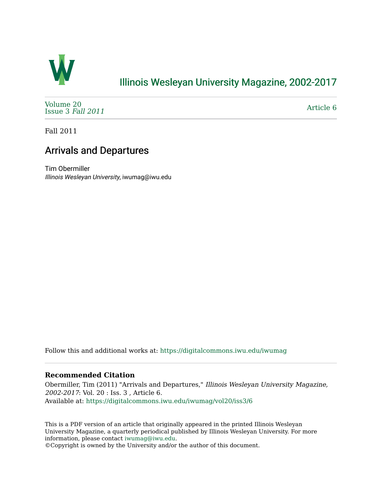

## [Illinois Wesleyan University Magazine, 2002-2017](https://digitalcommons.iwu.edu/iwumag)

[Volume 20](https://digitalcommons.iwu.edu/iwumag/vol20)  [Issue 3](https://digitalcommons.iwu.edu/iwumag/vol20/iss3) Fall 2011

[Article 6](https://digitalcommons.iwu.edu/iwumag/vol20/iss3/6) 

Fall 2011

## Arrivals and Departures

Tim Obermiller Illinois Wesleyan University, iwumag@iwu.edu

Follow this and additional works at: [https://digitalcommons.iwu.edu/iwumag](https://digitalcommons.iwu.edu/iwumag?utm_source=digitalcommons.iwu.edu%2Fiwumag%2Fvol20%2Fiss3%2F6&utm_medium=PDF&utm_campaign=PDFCoverPages) 

#### **Recommended Citation**

Obermiller, Tim (2011) "Arrivals and Departures," Illinois Wesleyan University Magazine, 2002-2017: Vol. 20 : Iss. 3 , Article 6. Available at: [https://digitalcommons.iwu.edu/iwumag/vol20/iss3/6](https://digitalcommons.iwu.edu/iwumag/vol20/iss3/6?utm_source=digitalcommons.iwu.edu%2Fiwumag%2Fvol20%2Fiss3%2F6&utm_medium=PDF&utm_campaign=PDFCoverPages)

This is a PDF version of an article that originally appeared in the printed Illinois Wesleyan University Magazine, a quarterly periodical published by Illinois Wesleyan University. For more information, please contact [iwumag@iwu.edu](mailto:iwumag@iwu.edu).

©Copyright is owned by the University and/or the author of this document.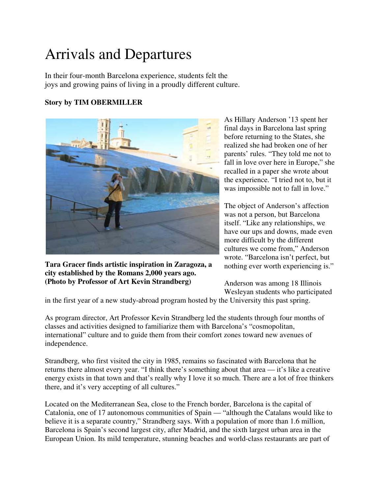# Arrivals and Departures

In their four-month Barcelona experience, students felt the joys and growing pains of living in a proudly different culture.

### **Story by TIM OBERMILLER**



**Tara Gracer finds artistic inspiration in Zaragoza, a city established by the Romans 2,000 years ago. (Photo by Professor of Art Kevin Strandberg)**

As Hillary Anderson '13 spent her final days in Barcelona last spring before returning to the States, she realized she had broken one of her parents' rules. "They told me not to fall in love over here in Europe," she recalled in a paper she wrote about the experience. "I tried not to, but it was impossible not to fall in love."

The object of Anderson's affection was not a person, but Barcelona itself. "Like any relationships, we have our ups and downs, made even more difficult by the different cultures we come from," Anderson wrote. "Barcelona isn't perfect, but nothing ever worth experiencing is."

Anderson was among 18 Illinois Wesleyan students who participated

in the first year of a new study-abroad program hosted by the University this past spring.

As program director, Art Professor Kevin Strandberg led the students through four months of classes and activities designed to familiarize them with Barcelona's "cosmopolitan, international" culture and to guide them from their comfort zones toward new avenues of independence.

Strandberg, who first visited the city in 1985, remains so fascinated with Barcelona that he returns there almost every year. "I think there's something about that area — it's like a creative energy exists in that town and that's really why I love it so much. There are a lot of free thinkers there, and it's very accepting of all cultures."

Located on the Mediterranean Sea, close to the French border, Barcelona is the capital of Catalonia, one of 17 autonomous communities of Spain — "although the Catalans would like to believe it is a separate country," Strandberg says. With a population of more than 1.6 million, Barcelona is Spain's second largest city, after Madrid, and the sixth largest urban area in the European Union. Its mild temperature, stunning beaches and world-class restaurants are part of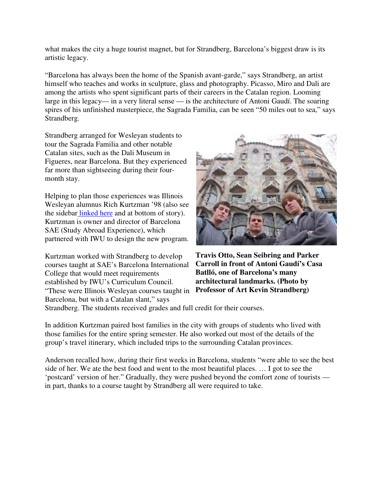what makes the city a huge tourist magnet, but for Strandberg, Barcelona's biggest draw is its artistic legacy.

"Barcelona has always been the home of the Spanish avant-garde," says Strandberg, an artist himself who teaches and works in sculpture, glass and photography. Picasso, Miro and Dali are among the artists who spent significant parts of their careers in the Catalan region. Looming large in this legacy— in a very literal sense — is the architecture of Antoni Gaudí. The soaring spires of his unfinished masterpiece, the Sagrada Familia, can be seen "50 miles out to sea," says Strandberg.

Strandberg arranged for Wesleyan students to tour the Sagrada Familia and other notable Catalan sites, such as the Dali Museum in Figueres, near Barcelona. But they experienced far more than sightseeing during their fourmonth stay.

Helping to plan those experiences was Illinois Wesleyan alumnus Rich Kurtzman '98 (also see the sidebar linked here and at bottom of story). Kurtzman is owner and director of Barcelona SAE (Study Abroad Experience), which partnered with IWU to design the new program.

Kurtzman worked with Strandberg to develop courses taught at SAE's Barcelona International College that would meet requirements established by IWU's Curriculum Council. "These were Illinois Wesleyan courses taught in **Professor of Art Kevin Strandberg)**Barcelona, but with a Catalan slant," says



**Travis Otto, Sean Seibring and Parker Carroll in front of Antoni Gaudí's Casa Batlló, one of Barcelona's many architectural landmarks. (Photo by** 

Strandberg. The students received grades and full credit for their courses.

In addition Kurtzman paired host families in the city with groups of students who lived with those families for the entire spring semester. He also worked out most of the details of the group's travel itinerary, which included trips to the surrounding Catalan provinces.

Anderson recalled how, during their first weeks in Barcelona, students "were able to see the best side of her. We ate the best food and went to the most beautiful places. … I got to see the 'postcard' version of her." Gradually, they were pushed beyond the comfort zone of tourists in part, thanks to a course taught by Strandberg all were required to take.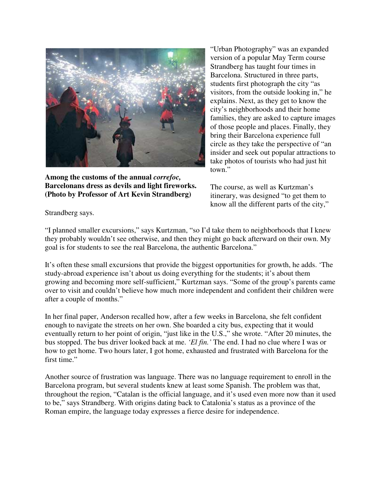

**Among the customs of the annual** *correfoc,* **Barcelonans dress as devils and light fireworks. (Photo by Professor of Art Kevin Strandberg)**

"Urban Photography" was an expanded version of a popular May Term course Strandberg has taught four times in Barcelona. Structured in three parts, students first photograph the city "as visitors, from the outside looking in," he explains. Next, as they get to know the city's neighborhoods and their home families, they are asked to capture images of those people and places. Finally, they bring their Barcelona experience full circle as they take the perspective of "an insider and seek out popular attractions to take photos of tourists who had just hit town."

The course, as well as Kurtzman's itinerary, was designed "to get them to know all the different parts of the city,"

Strandberg says.

"I planned smaller excursions," says Kurtzman, "so I'd take them to neighborhoods that I knew they probably wouldn't see otherwise, and then they might go back afterward on their own. My goal is for students to see the real Barcelona, the authentic Barcelona."

It's often these small excursions that provide the biggest opportunities for growth, he adds. 'The study-abroad experience isn't about us doing everything for the students; it's about them growing and becoming more self-sufficient," Kurtzman says. "Some of the group's parents came over to visit and couldn't believe how much more independent and confident their children were after a couple of months."

In her final paper, Anderson recalled how, after a few weeks in Barcelona, she felt confident enough to navigate the streets on her own. She boarded a city bus, expecting that it would eventually return to her point of origin, "just like in the U.S.," she wrote. "After 20 minutes, the bus stopped. The bus driver looked back at me. *'El fin.'* The end. I had no clue where I was or how to get home. Two hours later, I got home, exhausted and frustrated with Barcelona for the first time."

Another source of frustration was language. There was no language requirement to enroll in the Barcelona program, but several students knew at least some Spanish. The problem was that, throughout the region, "Catalan is the official language, and it's used even more now than it used to be," says Strandberg. With origins dating back to Catalonia's status as a province of the Roman empire, the language today expresses a fierce desire for independence.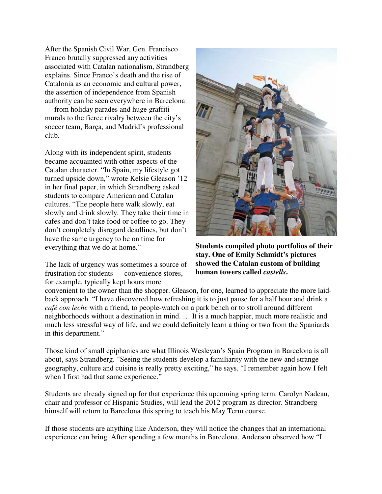After the Spanish Civil War, Gen. Francisco Franco brutally suppressed any activities associated with Catalan nationalism, Strandberg explains. Since Franco's death and the rise of Catalonia as an economic and cultural power, the assertion of independence from Spanish authority can be seen everywhere in Barcelona — from holiday parades and huge graffiti murals to the fierce rivalry between the city's soccer team, Barça, and Madrid's professional club.

Along with its independent spirit, students became acquainted with other aspects of the Catalan character. "In Spain, my lifestyle got turned upside down," wrote Kelsie Gleason '12 in her final paper, in which Strandberg asked students to compare American and Catalan cultures. "The people here walk slowly, eat slowly and drink slowly. They take their time in cafes and don't take food or coffee to go. They don't completely disregard deadlines, but don't have the same urgency to be on time for everything that we do at home."

The lack of urgency was sometimes a source of frustration for students — convenience stores, for example, typically kept hours more



**Students compiled photo portfolios of their stay. One of Emily Schmidt's pictures showed the Catalan custom of building human towers called** *castells***.**

convenient to the owner than the shopper. Gleason, for one, learned to appreciate the more laidback approach. "I have discovered how refreshing it is to just pause for a half hour and drink a *café con leche* with a friend, to people-watch on a park bench or to stroll around different neighborhoods without a destination in mind. … It is a much happier, much more realistic and much less stressful way of life, and we could definitely learn a thing or two from the Spaniards in this department."

Those kind of small epiphanies are what Illinois Wesleyan's Spain Program in Barcelona is all about, says Strandberg. "Seeing the students develop a familiarity with the new and strange geography, culture and cuisine is really pretty exciting," he says. "I remember again how I felt when I first had that same experience."

Students are already signed up for that experience this upcoming spring term. Carolyn Nadeau, chair and professor of Hispanic Studies, will lead the 2012 program as director. Strandberg himself will return to Barcelona this spring to teach his May Term course.

If those students are anything like Anderson, they will notice the changes that an international experience can bring. After spending a few months in Barcelona, Anderson observed how "I